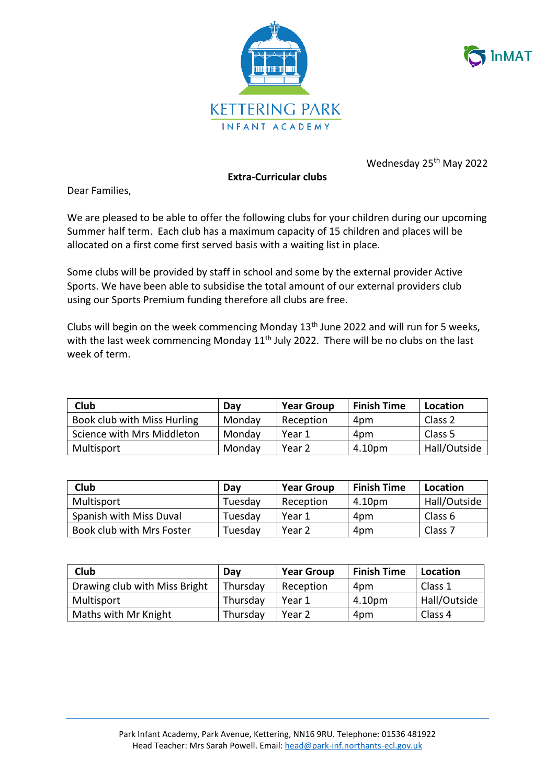



Wednesday 25<sup>th</sup> May 2022

## **Extra-Curricular clubs**

Dear Families,

We are pleased to be able to offer the following clubs for your children during our upcoming Summer half term. Each club has a maximum capacity of 15 children and places will be allocated on a first come first served basis with a waiting list in place.

Some clubs will be provided by staff in school and some by the external provider Active Sports. We have been able to subsidise the total amount of our external providers club using our Sports Premium funding therefore all clubs are free.

Clubs will begin on the week commencing Monday  $13<sup>th</sup>$  June 2022 and will run for 5 weeks, with the last week commencing Monday  $11<sup>th</sup>$  July 2022. There will be no clubs on the last week of term.

| Club                        | Dav    | <b>Year Group</b> | <b>Finish Time</b> | Location     |
|-----------------------------|--------|-------------------|--------------------|--------------|
| Book club with Miss Hurling | Monday | Reception         | 4pm                | Class 2      |
| Science with Mrs Middleton  | Monday | Year 1            | 4pm                | Class 5      |
| Multisport                  | Monday | Year 2            | 4.10pm             | Hall/Outside |

| Club                      | Dav     | <b>Year Group</b> | <b>Finish Time</b> | Location           |
|---------------------------|---------|-------------------|--------------------|--------------------|
| Multisport                | Tuesday | Reception         | 4.10pm             | Hall/Outside       |
| Spanish with Miss Duval   | Tuesdav | Year 1            | 4pm                | Class 6            |
| Book club with Mrs Foster | Tuesday | Year 2            | 4pm                | Class <sub>7</sub> |

| Club                          | Day      | <b>Year Group</b> | <b>Finish Time</b> | Location     |
|-------------------------------|----------|-------------------|--------------------|--------------|
| Drawing club with Miss Bright | Thursday | Reception         | 4pm                | Class 1      |
| Multisport                    | Thursday | Year 1            | 4.10pm             | Hall/Outside |
| Maths with Mr Knight          | Thursday | Year 2            | 4pm                | Class 4      |